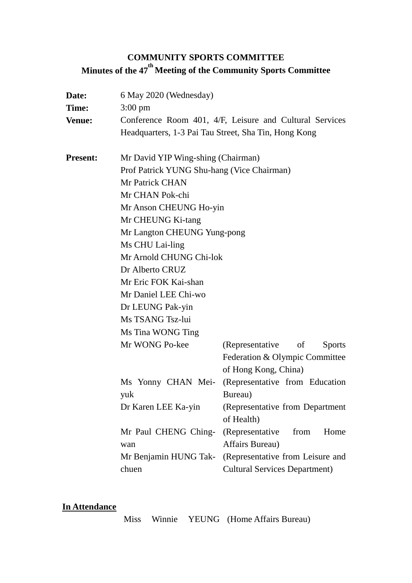# **COMMUNITY SPORTS COMMITTEE Minutes of the 47 th Meeting of the Community Sports Committee**

| Date:<br>Time:<br><b>Venue:</b> | 6 May 2020 (Wednesday)<br>$3:00 \text{ pm}$<br>Conference Room 401, 4/F, Leisure and Cultural Services<br>Headquarters, 1-3 Pai Tau Street, Sha Tin, Hong Kong |                                      |
|---------------------------------|----------------------------------------------------------------------------------------------------------------------------------------------------------------|--------------------------------------|
|                                 |                                                                                                                                                                |                                      |
| <b>Present:</b>                 | Mr David YIP Wing-shing (Chairman)                                                                                                                             |                                      |
|                                 | Prof Patrick YUNG Shu-hang (Vice Chairman)                                                                                                                     |                                      |
|                                 | Mr Patrick CHAN                                                                                                                                                |                                      |
|                                 | Mr CHAN Pok-chi                                                                                                                                                |                                      |
|                                 | Mr Anson CHEUNG Ho-yin                                                                                                                                         |                                      |
|                                 | Mr CHEUNG Ki-tang                                                                                                                                              |                                      |
|                                 | Mr Langton CHEUNG Yung-pong                                                                                                                                    |                                      |
|                                 | Ms CHU Lai-ling                                                                                                                                                |                                      |
|                                 | Mr Arnold CHUNG Chi-lok                                                                                                                                        |                                      |
|                                 | Dr Alberto CRUZ                                                                                                                                                |                                      |
|                                 | Mr Eric FOK Kai-shan                                                                                                                                           |                                      |
|                                 | Mr Daniel LEE Chi-wo                                                                                                                                           |                                      |
|                                 | Dr LEUNG Pak-yin                                                                                                                                               |                                      |
|                                 | Ms TSANG Tsz-lui                                                                                                                                               |                                      |
|                                 | Ms Tina WONG Ting                                                                                                                                              |                                      |
|                                 | Mr WONG Po-kee                                                                                                                                                 | (Representative of<br><b>Sports</b>  |
|                                 |                                                                                                                                                                | Federation & Olympic Committee       |
|                                 |                                                                                                                                                                | of Hong Kong, China)                 |
|                                 | Ms Yonny CHAN Mei-                                                                                                                                             | (Representative from Education       |
|                                 | yuk                                                                                                                                                            | Bureau)                              |
|                                 | Dr Karen LEE Ka-yin                                                                                                                                            | (Representative from Department      |
|                                 |                                                                                                                                                                | of Health)                           |
|                                 | Mr Paul CHENG Ching-                                                                                                                                           | (Representative<br>from<br>Home      |
|                                 | wan                                                                                                                                                            | Affairs Bureau)                      |
|                                 | Mr Benjamin HUNG Tak-                                                                                                                                          | (Representative from Leisure and     |
|                                 | chuen                                                                                                                                                          | <b>Cultural Services Department)</b> |

## **In Attendance**

Miss Winnie YEUNG (Home Affairs Bureau)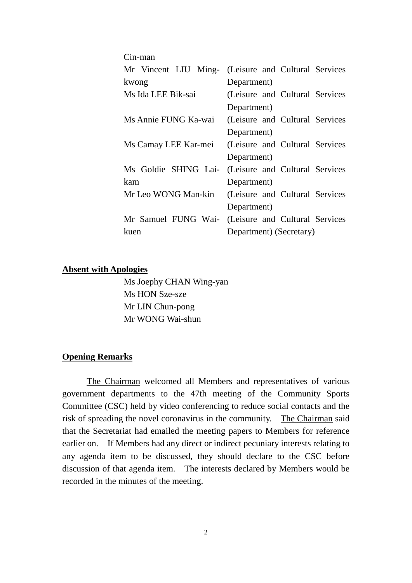| Cin-man              |                                                     |  |  |
|----------------------|-----------------------------------------------------|--|--|
|                      | Mr Vincent LIU Ming- (Leisure and Cultural Services |  |  |
| kwong                | Department)                                         |  |  |
| Ms Ida LEE Bik-sai   | (Leisure and Cultural Services)                     |  |  |
|                      | Department)                                         |  |  |
| Ms Annie FUNG Ka-wai | (Leisure and Cultural Services)                     |  |  |
|                      | Department)                                         |  |  |
| Ms Camay LEE Kar-mei | (Leisure and Cultural Services)                     |  |  |
|                      | Department)                                         |  |  |
| Ms Goldie SHING Lai- | (Leisure and Cultural Services)                     |  |  |
| kam                  | Department)                                         |  |  |
| Mr Leo WONG Man-kin  | (Leisure and Cultural Services)                     |  |  |
|                      | Department)                                         |  |  |
| Mr Samuel FUNG Wai-  | (Leisure and Cultural Services)                     |  |  |
| kuen                 | Department) (Secretary)                             |  |  |

#### **Absent with Apologies**

Ms Joephy CHAN Wing-yan Ms HON Sze-sze Mr LIN Chun-pong Mr WONG Wai-shun

#### **Opening Remarks**

The Chairman welcomed all Members and representatives of various government departments to the 47th meeting of the Community Sports Committee (CSC) held by video conferencing to reduce social contacts and the risk of spreading the novel coronavirus in the community. The Chairman said that the Secretariat had emailed the meeting papers to Members for reference earlier on. If Members had any direct or indirect pecuniary interests relating to any agenda item to be discussed, they should declare to the CSC before discussion of that agenda item. The interests declared by Members would be recorded in the minutes of the meeting.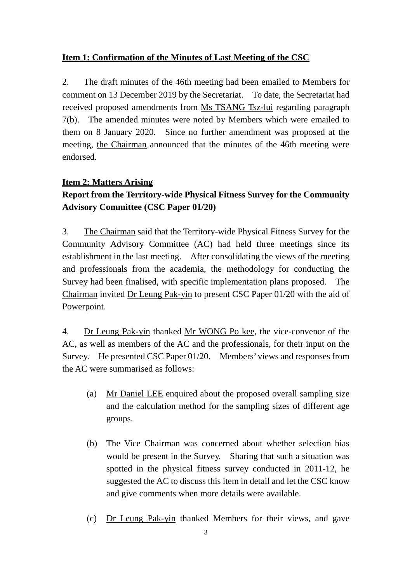### **Item 1: Confirmation of the Minutes of Last Meeting of the CSC**

2. The draft minutes of the 46th meeting had been emailed to Members for comment on 13 December 2019 by the Secretariat. To date, the Secretariat had received proposed amendments from Ms TSANG Tsz-lui regarding paragraph 7(b). The amended minutes were noted by Members which were emailed to them on 8 January 2020. Since no further amendment was proposed at the meeting, the Chairman announced that the minutes of the 46th meeting were endorsed.

### **Item 2: Matters Arising**

## **Report from the Territory-wide Physical Fitness Survey for the Community Advisory Committee (CSC Paper 01/20)**

3. The Chairman said that the Territory-wide Physical Fitness Survey for the Community Advisory Committee (AC) had held three meetings since its establishment in the last meeting. After consolidating the views of the meeting and professionals from the academia, the methodology for conducting the Survey had been finalised, with specific implementation plans proposed. The Chairman invited Dr Leung Pak-yin to present CSC Paper 01/20 with the aid of Powerpoint.

4. Dr Leung Pak-yin thanked Mr WONG Po kee, the vice-convenor of the AC, as well as members of the AC and the professionals, for their input on the Survey. He presented CSC Paper 01/20. Members' views and responses from the AC were summarised as follows:

- (a) Mr Daniel LEE enquired about the proposed overall sampling size and the calculation method for the sampling sizes of different age groups.
- (b) The Vice Chairman was concerned about whether selection bias would be present in the Survey. Sharing that such a situation was spotted in the physical fitness survey conducted in 2011-12, he suggested the AC to discuss this item in detail and let the CSC know and give comments when more details were available.
- (c) Dr Leung Pak-yin thanked Members for their views, and gave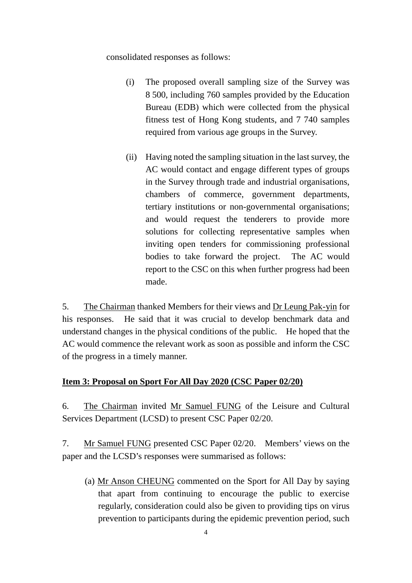consolidated responses as follows:

- (i) The proposed overall sampling size of the Survey was 8 500, including 760 samples provided by the Education Bureau (EDB) which were collected from the physical fitness test of Hong Kong students, and 7 740 samples required from various age groups in the Survey.
- (ii) Having noted the sampling situation in the last survey, the AC would contact and engage different types of groups in the Survey through trade and industrial organisations, chambers of commerce, government departments, tertiary institutions or non-governmental organisations; and would request the tenderers to provide more solutions for collecting representative samples when inviting open tenders for commissioning professional bodies to take forward the project. The AC would report to the CSC on this when further progress had been made.

5. The Chairman thanked Members for their views and Dr Leung Pak-yin for his responses. He said that it was crucial to develop benchmark data and understand changes in the physical conditions of the public. He hoped that the AC would commence the relevant work as soon as possible and inform the CSC of the progress in a timely manner.

## **Item 3: Proposal on Sport For All Day 2020 (CSC Paper 02/20)**

6. The Chairman invited Mr Samuel FUNG of the Leisure and Cultural Services Department (LCSD) to present CSC Paper 02/20.

7. Mr Samuel FUNG presented CSC Paper 02/20. Members' views on the paper and the LCSD's responses were summarised as follows:

(a) Mr Anson CHEUNG commented on the Sport for All Day by saying that apart from continuing to encourage the public to exercise regularly, consideration could also be given to providing tips on virus prevention to participants during the epidemic prevention period, such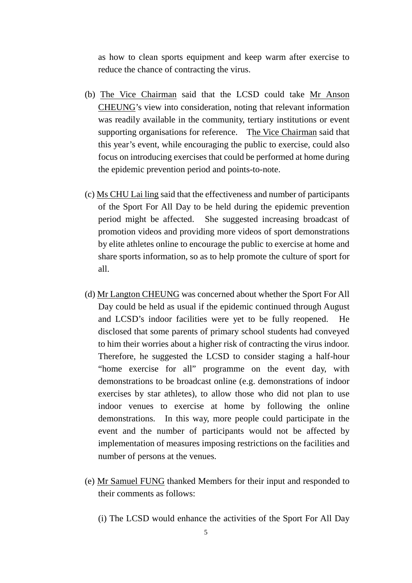as how to clean sports equipment and keep warm after exercise to reduce the chance of contracting the virus.

- (b) The Vice Chairman said that the LCSD could take Mr Anson CHEUNG's view into consideration, noting that relevant information was readily available in the community, tertiary institutions or event supporting organisations for reference. The Vice Chairman said that this year's event, while encouraging the public to exercise, could also focus on introducing exercises that could be performed at home during the epidemic prevention period and points-to-note.
- (c) Ms CHU Lai ling said that the effectiveness and number of participants of the Sport For All Day to be held during the epidemic prevention period might be affected. She suggested increasing broadcast of promotion videos and providing more videos of sport demonstrations by elite athletes online to encourage the public to exercise at home and share sports information, so as to help promote the culture of sport for all.
- (d) Mr Langton CHEUNG was concerned about whether the Sport For All Day could be held as usual if the epidemic continued through August and LCSD's indoor facilities were yet to be fully reopened. He disclosed that some parents of primary school students had conveyed to him their worries about a higher risk of contracting the virus indoor. Therefore, he suggested the LCSD to consider staging a half-hour "home exercise for all" programme on the event day, with demonstrations to be broadcast online (e.g. demonstrations of indoor exercises by star athletes), to allow those who did not plan to use indoor venues to exercise at home by following the online demonstrations. In this way, more people could participate in the event and the number of participants would not be affected by implementation of measures imposing restrictions on the facilities and number of persons at the venues.
- (e) Mr Samuel FUNG thanked Members for their input and responded to their comments as follows:
	- (i) The LCSD would enhance the activities of the Sport For All Day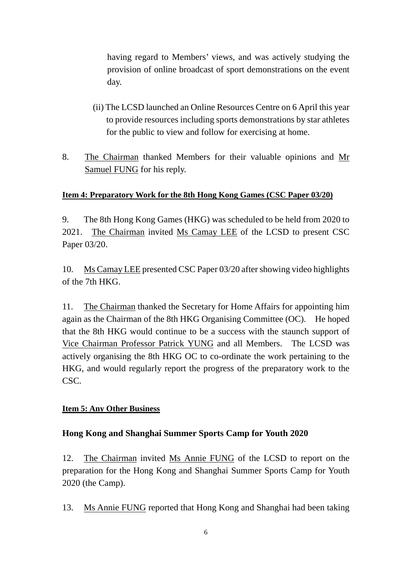having regard to Members' views, and was actively studying the provision of online broadcast of sport demonstrations on the event day.

- (ii) The LCSD launched an Online Resources Centre on 6 April this year to provide resources including sports demonstrations by star athletes for the public to view and follow for exercising at home.
- 8. The Chairman thanked Members for their valuable opinions and Mr Samuel FUNG for his reply.

## **Item 4: Preparatory Work for the 8th Hong Kong Games (CSC Paper 03/20)**

9. The 8th Hong Kong Games (HKG) was scheduled to be held from 2020 to 2021. The Chairman invited Ms Camay LEE of the LCSD to present CSC Paper 03/20.

10. Ms Camay LEE presented CSC Paper 03/20 after showing video highlights of the 7th HKG.

11. The Chairman thanked the Secretary for Home Affairs for appointing him again as the Chairman of the 8th HKG Organising Committee (OC). He hoped that the 8th HKG would continue to be a success with the staunch support of Vice Chairman Professor Patrick YUNG and all Members. The LCSD was actively organising the 8th HKG OC to co-ordinate the work pertaining to the HKG, and would regularly report the progress of the preparatory work to the CSC.

### **Item 5: Any Other Business**

## **Hong Kong and Shanghai Summer Sports Camp for Youth 2020**

12. The Chairman invited Ms Annie FUNG of the LCSD to report on the preparation for the Hong Kong and Shanghai Summer Sports Camp for Youth 2020 (the Camp).

13. Ms Annie FUNG reported that Hong Kong and Shanghai had been taking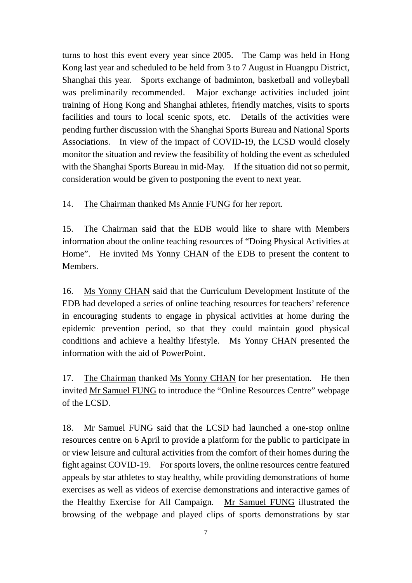turns to host this event every year since 2005. The Camp was held in Hong Kong last year and scheduled to be held from 3 to 7 August in Huangpu District, Shanghai this year. Sports exchange of badminton, basketball and volleyball was preliminarily recommended. Major exchange activities included joint training of Hong Kong and Shanghai athletes, friendly matches, visits to sports facilities and tours to local scenic spots, etc. Details of the activities were pending further discussion with the Shanghai Sports Bureau and National Sports Associations. In view of the impact of COVID-19, the LCSD would closely monitor the situation and review the feasibility of holding the event as scheduled with the Shanghai Sports Bureau in mid-May. If the situation did not so permit, consideration would be given to postponing the event to next year.

14. The Chairman thanked Ms Annie FUNG for her report.

15. The Chairman said that the EDB would like to share with Members information about the online teaching resources of "Doing Physical Activities at Home". He invited Ms Yonny CHAN of the EDB to present the content to **Members** 

16. Ms Yonny CHAN said that the Curriculum Development Institute of the EDB had developed a series of online teaching resources for teachers' reference in encouraging students to engage in physical activities at home during the epidemic prevention period, so that they could maintain good physical conditions and achieve a healthy lifestyle. Ms Yonny CHAN presented the information with the aid of PowerPoint.

17. The Chairman thanked Ms Yonny CHAN for her presentation. He then invited Mr Samuel FUNG to introduce the "Online Resources Centre" webpage of the LCSD.

18. Mr Samuel FUNG said that the LCSD had launched a one-stop online resources centre on 6 April to provide a platform for the public to participate in or view leisure and cultural activities from the comfort of their homes during the fight against COVID-19. For sports lovers, the online resources centre featured appeals by star athletes to stay healthy, while providing demonstrations of home exercises as well as videos of exercise demonstrations and interactive games of the Healthy Exercise for All Campaign. Mr Samuel FUNG illustrated the browsing of the webpage and played clips of sports demonstrations by star